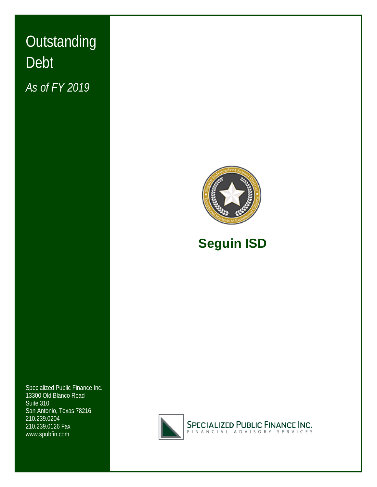# **Outstanding** Debt *As of FY 2019*





## **Seguin ISD**

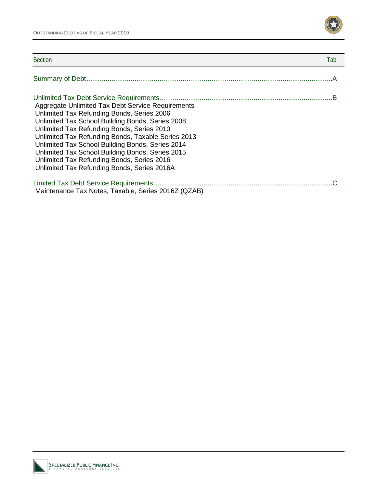

| Section                                                                                                                                                                                                                                                                                                                                                                                                                                                      | Tab |
|--------------------------------------------------------------------------------------------------------------------------------------------------------------------------------------------------------------------------------------------------------------------------------------------------------------------------------------------------------------------------------------------------------------------------------------------------------------|-----|
|                                                                                                                                                                                                                                                                                                                                                                                                                                                              |     |
| Aggregate Unlimited Tax Debt Service Requirements<br>Unlimited Tax Refunding Bonds, Series 2006<br>Unlimited Tax School Building Bonds, Series 2008<br>Unlimited Tax Refunding Bonds, Series 2010<br>Unlimited Tax Refunding Bonds, Taxable Series 2013<br>Unlimited Tax School Building Bonds, Series 2014<br>Unlimited Tax School Building Bonds, Series 2015<br>Unlimited Tax Refunding Bonds, Series 2016<br>Unlimited Tax Refunding Bonds, Series 2016A |     |
| Maintenance Tax Notes, Taxable, Series 2016Z (QZAB)                                                                                                                                                                                                                                                                                                                                                                                                          |     |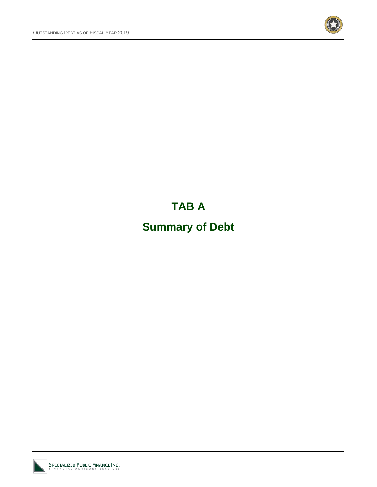

## **TAB A**

## **Summary of Debt**

SPECIALIZED PUBLIC FINANCE INC.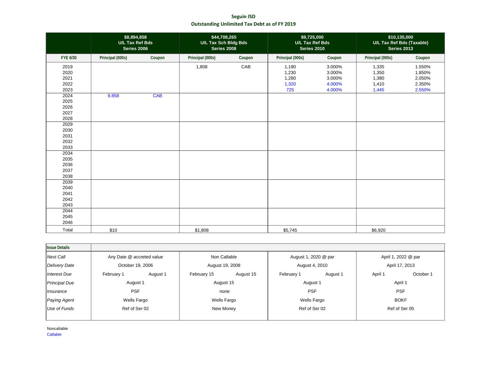**Seguin ISD Outstanding Unlimited Tax Debt as of FY 2019**

|                                      | \$8,894,858<br>U/L Tax Ref Bds<br><b>Series 2006</b> |            | \$44,708,265<br>U/L Tax Sch Bldg Bds<br><b>Series 2008</b> |        | \$9,725,000<br>U/L Tax Ref Bds<br><b>Series 2010</b> |                                                | \$10,135,000<br>U/L Tax Ref Bds (Taxable)<br><b>Series 2013</b> |                                                |
|--------------------------------------|------------------------------------------------------|------------|------------------------------------------------------------|--------|------------------------------------------------------|------------------------------------------------|-----------------------------------------------------------------|------------------------------------------------|
| FYE 6/30                             | Principal (000s)                                     | Coupon     | Principal (000s)                                           | Coupon | Principal (000s)                                     | Coupon                                         | Principal (000s)                                                | Coupon                                         |
| 2019<br>2020<br>2021<br>2022<br>2023 |                                                      |            | 1,808                                                      | CAB    | 1,190<br>1,230<br>1,280<br>1,320<br>725              | 3.000%<br>3.000%<br>3.000%<br>4.000%<br>4.000% | 1,335<br>1,350<br>1,380<br>1,410<br>1,445                       | 1.550%<br>1.850%<br>2.050%<br>2.350%<br>2.550% |
| 2024<br>2025<br>2026<br>2027<br>2028 | 9.858                                                | <b>CAB</b> |                                                            |        |                                                      |                                                |                                                                 |                                                |
| 2029<br>2030<br>2031<br>2032<br>2033 |                                                      |            |                                                            |        |                                                      |                                                |                                                                 |                                                |
| 2034<br>2035<br>2036<br>2037<br>2038 |                                                      |            |                                                            |        |                                                      |                                                |                                                                 |                                                |
| 2039<br>2040<br>2041<br>2042<br>2043 |                                                      |            |                                                            |        |                                                      |                                                |                                                                 |                                                |
| 2044<br>2045<br>2046<br>Total        | \$10                                                 |            | \$1,808                                                    |        | \$5,745                                              |                                                | \$6,920                                                         |                                                |

| <b>Issue Details</b> |                           |          |                 |           |                      |               |                     |               |
|----------------------|---------------------------|----------|-----------------|-----------|----------------------|---------------|---------------------|---------------|
| Next Call            | Any Date @ accreted value |          | Non Callable    |           | August 1, 2020 @ par |               | April 1, 2022 @ par |               |
| <b>Delivery Date</b> | October 19, 2006          |          | August 19, 2008 |           | August 4, 2010       |               | April 17, 2013      |               |
| Interest Due         | February 1                | August 1 | February 15     | August 15 | February 1           | August 1      | April 1             | October 1     |
| <b>Principal Due</b> | August 1                  |          | August 15       |           | August 1             |               |                     | April 1       |
| Insurance            | <b>PSF</b>                |          | none            |           | <b>PSF</b>           |               |                     | <b>PSF</b>    |
| Paying Agent         | Wells Fargo               |          | Wells Fargo     |           | Wells Fargo          |               | <b>BOKF</b>         |               |
| Use of Funds         | Ref of Ser 02             |          | New Money       |           |                      | Ref of Ser 02 |                     | Ref of Ser 05 |
|                      |                           |          |                 |           |                      |               |                     |               |

Noncallable Callable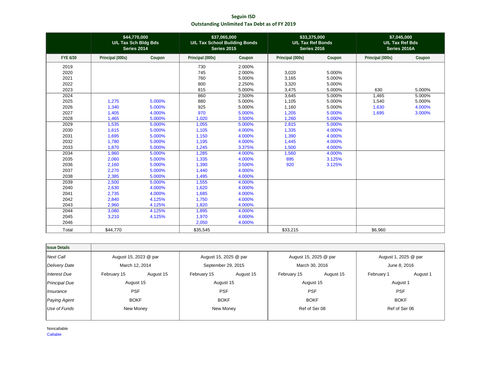**Seguin ISD Outstanding Unlimited Tax Debt as of FY 2019**

|                 | \$44,770,000<br>U/L Tax Sch Bldg Bds<br>Series 2014 |        | \$37,065,000<br><b>U/L Tax School Building Bonds</b><br><b>Series 2015</b> |        | \$33,375,000<br><b>U/L Tax Ref Bonds</b><br>Series 2016 |        | \$7,045,000<br><b>U/L Tax Ref Bds</b><br>Series 2016A |        |
|-----------------|-----------------------------------------------------|--------|----------------------------------------------------------------------------|--------|---------------------------------------------------------|--------|-------------------------------------------------------|--------|
| <b>FYE 6/30</b> | Principal (000s)                                    | Coupon | Principal (000s)                                                           | Coupon | Principal (000s)                                        | Coupon | Principal (000s)                                      | Coupon |
| 2019            |                                                     |        | 730                                                                        | 2.000% |                                                         |        |                                                       |        |
| 2020            |                                                     |        | 745                                                                        | 2.000% | 3,020                                                   | 5.000% |                                                       |        |
| 2021            |                                                     |        | 760                                                                        | 5.000% | 3,165                                                   | 5.000% |                                                       |        |
| 2022            |                                                     |        | 800                                                                        | 2.250% | 3,320                                                   | 5.000% |                                                       |        |
| 2023            |                                                     |        | 815                                                                        | 5.000% | 3,475                                                   | 5.000% | 630                                                   | 5.000% |
| 2024            |                                                     |        | 860                                                                        | 2.500% | 3,645                                                   | 5.000% | 1,465                                                 | 5.000% |
| 2025            | 1,275                                               | 5.000% | 880                                                                        | 5.000% | 1,105                                                   | 5.000% | 1,540                                                 | 5.000% |
| 2026            | 1,340                                               | 5.000% | 925                                                                        | 5.000% | 1,160                                                   | 5.000% | 1,630                                                 | 4.000% |
| 2027            | 1,405                                               | 4.000% | 970                                                                        | 5.000% | 1,205                                                   | 5.000% | 1,695                                                 | 3.000% |
| 2028            | 1,465                                               | 5.000% | 1,020                                                                      | 3.500% | 1,260                                                   | 5.000% |                                                       |        |
| 2029            | 1,535                                               | 5.000% | 1,055                                                                      | 5.000% | 2,815                                                   | 5.000% |                                                       |        |
| 2030            | 1,615                                               | 5.000% | 1,105                                                                      | 4.000% | 1,335                                                   | 4.000% |                                                       |        |
| 2031            | 1,695                                               | 5.000% | 1,150                                                                      | 4.000% | 1,390                                                   | 4.000% |                                                       |        |
| 2032            | 1,780                                               | 5.000% | 1,195                                                                      | 4.000% | 1,445                                                   | 4.000% |                                                       |        |
| 2033            | 1,870                                               | 5.000% | 1,245                                                                      | 3.375% | 1,500                                                   | 4.000% |                                                       |        |
| 2034            | 1,960                                               | 5.000% | 1,285                                                                      | 4.000% | 1,560                                                   | 4.000% |                                                       |        |
| 2035            | 2,060                                               | 5.000% | 1,335                                                                      | 4.000% | 895                                                     | 3.125% |                                                       |        |
| 2036            | 2,160                                               | 5.000% | 1,390                                                                      | 3.500% | 920                                                     | 3.125% |                                                       |        |
| 2037            | 2,270                                               | 5.000% | 1,440                                                                      | 4.000% |                                                         |        |                                                       |        |
| 2038            | 2,385                                               | 5.000% | 1,495                                                                      | 4.000% |                                                         |        |                                                       |        |
| 2039            | 2,500                                               | 5.000% | 1,555                                                                      | 4.000% |                                                         |        |                                                       |        |
| 2040            | 2,630                                               | 4.000% | 1,620                                                                      | 4.000% |                                                         |        |                                                       |        |
| 2041            | 2,735                                               | 4.000% | 1,685                                                                      | 4.000% |                                                         |        |                                                       |        |
| 2042            | 2,840                                               | 4.125% | 1,750                                                                      | 4.000% |                                                         |        |                                                       |        |
| 2043            | 2,960                                               | 4.125% | 1,820                                                                      | 4.000% |                                                         |        |                                                       |        |
| 2044            | 3,080                                               | 4.125% | 1,895                                                                      | 4.000% |                                                         |        |                                                       |        |
| 2045            | 3,210                                               | 4.125% | 1,970                                                                      | 4.000% |                                                         |        |                                                       |        |
| 2046            |                                                     |        | 2,050                                                                      | 4.000% |                                                         |        |                                                       |        |
| Total           | \$44,770                                            |        | \$35,545                                                                   |        | \$33,215                                                |        | \$6,960                                               |        |

| <b>Issue Details</b> |                       |           |                       |           |                       |           |                      |               |
|----------------------|-----------------------|-----------|-----------------------|-----------|-----------------------|-----------|----------------------|---------------|
| Next Call            | August 15, 2023 @ par |           | August 15, 2025 @ par |           | August 15, 2025 @ par |           | August 1, 2025 @ par |               |
| <b>Delivery Date</b> | March 12, 2014        |           | September 29, 2015    |           | March 30, 2016        |           | June 8, 2016         |               |
| Interest Due         | February 15           | August 15 | February 15           | August 15 | February 15           | August 15 | February 1           | August 1      |
| <b>Principal Due</b> | August 15             |           | August 15             |           | August 15             |           | August 1             |               |
| Insurance            | <b>PSF</b>            |           | <b>PSF</b>            |           | <b>PSF</b>            |           | <b>PSF</b>           |               |
| Paying Agent         | <b>BOKF</b>           |           | <b>BOKF</b>           |           | <b>BOKF</b>           |           | <b>BOKF</b>          |               |
| Use of Funds         | New Money             |           | New Money             |           | Ref of Ser 08         |           |                      | Ref of Ser 06 |
|                      |                       |           |                       |           |                       |           |                      |               |

Noncallable Callable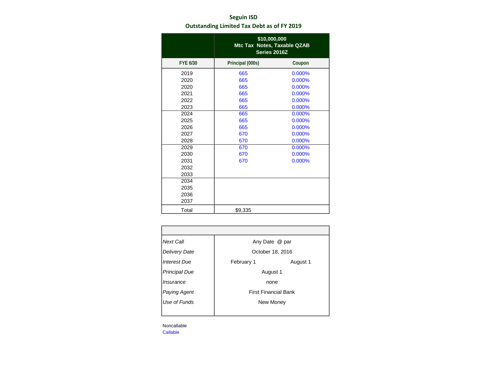### **Seguin ISD Outstanding Limited Tax Debt as of FY 2019**

|                 | \$10,000,000<br>Mtc Tax Notes, Taxable QZAB<br>Series 2016Z |        |
|-----------------|-------------------------------------------------------------|--------|
| <b>FYE 6/30</b> | Principal (000s)                                            | Coupon |
| 2019            | 665                                                         | 0.000% |
| 2020            | 665                                                         | 0.000% |
| 2020            | 665                                                         | 0.000% |
| 2021            | 665                                                         | 0.000% |
| 2022            | 665                                                         | 0.000% |
| 2023            | 665                                                         | 0.000% |
| 2024            | 665                                                         | 0.000% |
| 2025            | 665                                                         | 0.000% |
| 2026            | 665                                                         | 0.000% |
| 2027            | 670                                                         | 0.000% |
| 2028            | 670                                                         | 0.000% |
| 2029            | 670                                                         | 0.000% |
| 2030            | 670                                                         | 0.000% |
| 2031            | 670                                                         | 0.000% |
| 2032            |                                                             |        |
| 2033            |                                                             |        |
| 2034            |                                                             |        |
| 2035            |                                                             |        |
| 2036            |                                                             |        |
| 2037            |                                                             |        |
| Total           | \$9,335                                                     |        |

| <b>Next Call</b>     | Any Date @ par   |                             |
|----------------------|------------------|-----------------------------|
| <b>Delivery Date</b> | October 18, 2016 |                             |
| Interest Due         | February 1       | August 1                    |
| <b>Principal Due</b> | August 1         |                             |
| Insurance            | none             |                             |
| Paying Agent         |                  | <b>First Financial Bank</b> |
| Use of Funds         | New Money        |                             |
|                      |                  |                             |

Noncallable Callable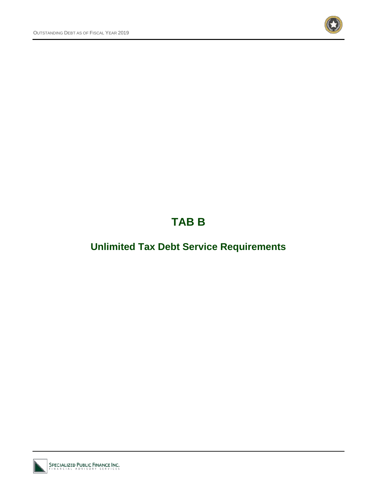

## **TAB B**

## **Unlimited Tax Debt Service Requirements**

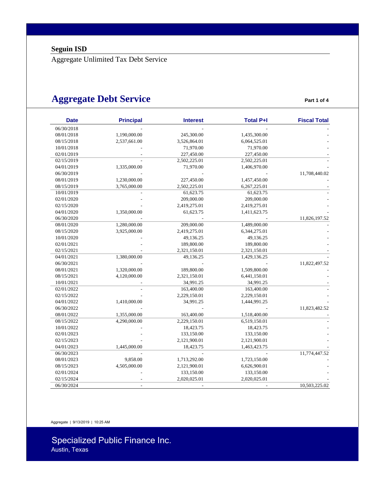Aggregate Unlimited Tax Debt Service

### **Aggregate Debt Service Part 1 of 4** Part 1 of 4

| <b>Date</b> | <b>Principal</b> | <b>Interest</b> | <b>Total P+I</b> | <b>Fiscal Total</b> |
|-------------|------------------|-----------------|------------------|---------------------|
| 06/30/2018  |                  |                 |                  |                     |
| 08/01/2018  | 1,190,000.00     | 245,300.00      | 1,435,300.00     |                     |
| 08/15/2018  | 2,537,661.00     | 3,526,864.01    | 6,064,525.01     |                     |
| 10/01/2018  |                  | 71,970.00       | 71,970.00        |                     |
| 02/01/2019  |                  | 227,450.00      | 227,450.00       |                     |
| 02/15/2019  |                  | 2,502,225.01    | 2,502,225.01     |                     |
| 04/01/2019  | 1,335,000.00     | 71,970.00       | 1,406,970.00     |                     |
| 06/30/2019  |                  |                 |                  | 11,708,440.02       |
| 08/01/2019  | 1,230,000.00     | 227,450.00      | 1,457,450.00     |                     |
| 08/15/2019  | 3,765,000.00     | 2,502,225.01    | 6,267,225.01     |                     |
| 10/01/2019  |                  | 61,623.75       | 61,623.75        |                     |
| 02/01/2020  |                  | 209,000.00      | 209,000.00       |                     |
| 02/15/2020  |                  | 2,419,275.01    | 2,419,275.01     |                     |
| 04/01/2020  | 1,350,000.00     | 61,623.75       | 1,411,623.75     |                     |
| 06/30/2020  |                  |                 |                  | 11,826,197.52       |
| 08/01/2020  | 1,280,000.00     | 209,000.00      | 1,489,000.00     |                     |
| 08/15/2020  | 3,925,000.00     | 2,419,275.01    | 6,344,275.01     |                     |
| 10/01/2020  |                  | 49,136.25       | 49,136.25        |                     |
| 02/01/2021  |                  | 189,800.00      | 189,800.00       |                     |
| 02/15/2021  |                  | 2,321,150.01    | 2,321,150.01     |                     |
| 04/01/2021  | 1,380,000.00     | 49,136.25       | 1,429,136.25     |                     |
| 06/30/2021  |                  |                 |                  | 11,822,497.52       |
| 08/01/2021  | 1,320,000.00     | 189,800.00      | 1,509,800.00     |                     |
| 08/15/2021  | 4,120,000.00     | 2,321,150.01    | 6,441,150.01     |                     |
| 10/01/2021  |                  | 34,991.25       | 34,991.25        |                     |
| 02/01/2022  |                  | 163,400.00      | 163,400.00       |                     |
| 02/15/2022  |                  | 2,229,150.01    | 2,229,150.01     |                     |
| 04/01/2022  | 1,410,000.00     | 34,991.25       | 1,444,991.25     |                     |
| 06/30/2022  |                  |                 |                  | 11,823,482.52       |
| 08/01/2022  | 1,355,000.00     | 163,400.00      | 1,518,400.00     |                     |
| 08/15/2022  | 4,290,000.00     | 2,229,150.01    | 6,519,150.01     |                     |
| 10/01/2022  |                  | 18,423.75       | 18,423.75        |                     |
| 02/01/2023  |                  | 133,150.00      | 133,150.00       |                     |
| 02/15/2023  |                  | 2,121,900.01    | 2,121,900.01     |                     |
| 04/01/2023  | 1,445,000.00     | 18,423.75       | 1,463,423.75     |                     |
| 06/30/2023  |                  |                 |                  | 11,774,447.52       |
| 08/01/2023  | 9,858.00         | 1,713,292.00    | 1,723,150.00     |                     |
| 08/15/2023  | 4,505,000.00     | 2,121,900.01    | 6,626,900.01     |                     |
| 02/01/2024  |                  | 133,150.00      | 133,150.00       |                     |
| 02/15/2024  |                  | 2,020,025.01    | 2,020,025.01     |                     |
| 06/30/2024  |                  |                 |                  | 10,503,225.02       |

Aggregate | 9/13/2019 | 10:25 AM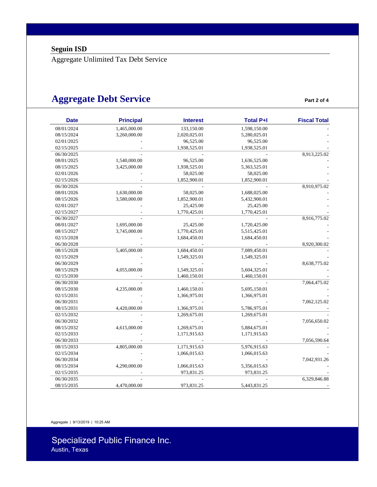Aggregate Unlimited Tax Debt Service

### **Aggregate Debt Service Part 2 of 4** Part 2 of 4

| <b>Date</b> | <b>Principal</b> | <b>Interest</b> | <b>Total P+I</b> | <b>Fiscal Total</b> |
|-------------|------------------|-----------------|------------------|---------------------|
| 08/01/2024  | 1,465,000.00     | 133,150.00      | 1,598,150.00     |                     |
| 08/15/2024  | 3,260,000.00     | 2,020,025.01    | 5,280,025.01     |                     |
| 02/01/2025  |                  | 96,525.00       | 96,525.00        |                     |
| 02/15/2025  |                  | 1,938,525.01    | 1,938,525.01     |                     |
| 06/30/2025  |                  |                 |                  | 8,913,225.02        |
| 08/01/2025  | 1,540,000.00     | 96,525.00       | 1,636,525.00     |                     |
| 08/15/2025  | 3,425,000.00     | 1,938,525.01    | 5,363,525.01     |                     |
| 02/01/2026  |                  | 58,025.00       | 58,025.00        |                     |
| 02/15/2026  |                  | 1,852,900.01    | 1,852,900.01     |                     |
| 06/30/2026  |                  |                 |                  | 8,910,975.02        |
| 08/01/2026  | 1,630,000.00     | 58,025.00       | 1,688,025.00     |                     |
| 08/15/2026  | 3,580,000.00     | 1,852,900.01    | 5,432,900.01     |                     |
| 02/01/2027  |                  | 25,425.00       | 25,425.00        |                     |
| 02/15/2027  |                  | 1,770,425.01    | 1,770,425.01     |                     |
| 06/30/2027  |                  |                 |                  | 8,916,775.02        |
| 08/01/2027  | 1,695,000.00     | 25,425.00       | 1,720,425.00     |                     |
| 08/15/2027  | 3,745,000.00     | 1,770,425.01    | 5,515,425.01     |                     |
| 02/15/2028  |                  | 1,684,450.01    | 1,684,450.01     |                     |
| 06/30/2028  |                  |                 |                  | 8,920,300.02        |
| 08/15/2028  | 5,405,000.00     | 1,684,450.01    | 7,089,450.01     |                     |
| 02/15/2029  |                  | 1,549,325.01    | 1,549,325.01     |                     |
| 06/30/2029  |                  |                 |                  | 8,638,775.02        |
| 08/15/2029  | 4,055,000.00     | 1,549,325.01    | 5,604,325.01     |                     |
| 02/15/2030  |                  | 1,460,150.01    | 1,460,150.01     |                     |
| 06/30/2030  |                  |                 |                  | 7,064,475.02        |
| 08/15/2030  | 4,235,000.00     | 1,460,150.01    | 5,695,150.01     |                     |
| 02/15/2031  |                  | 1,366,975.01    | 1,366,975.01     |                     |
| 06/30/2031  |                  |                 |                  | 7,062,125.02        |
| 08/15/2031  | 4,420,000.00     | 1,366,975.01    | 5,786,975.01     |                     |
| 02/15/2032  |                  | 1,269,675.01    | 1,269,675.01     |                     |
| 06/30/2032  |                  |                 |                  | 7,056,650.02        |
| 08/15/2032  | 4,615,000.00     | 1,269,675.01    | 5,884,675.01     |                     |
| 02/15/2033  |                  | 1,171,915.63    | 1,171,915.63     |                     |
| 06/30/2033  |                  |                 |                  | 7,056,590.64        |
| 08/15/2033  | 4,805,000.00     | 1,171,915.63    | 5,976,915.63     |                     |
| 02/15/2034  |                  | 1,066,015.63    | 1,066,015.63     |                     |
| 06/30/2034  |                  |                 |                  | 7,042,931.26        |
| 08/15/2034  | 4,290,000.00     | 1,066,015.63    | 5,356,015.63     |                     |
| 02/15/2035  |                  | 973,831.25      | 973,831.25       |                     |
| 06/30/2035  |                  |                 |                  | 6,329,846.88        |
| 08/15/2035  | 4,470,000.00     | 973,831.25      | 5,443,831.25     |                     |

Aggregate | 9/13/2019 | 10:25 AM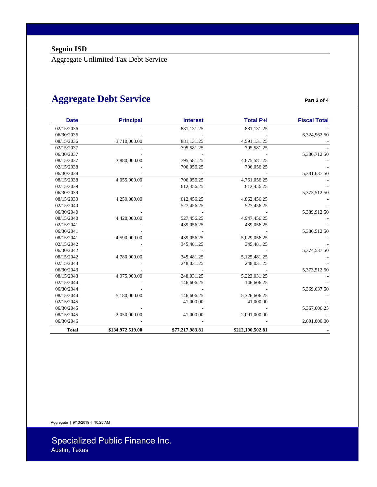Aggregate Unlimited Tax Debt Service

### **Aggregate Debt Service** *Part 3 of 4*

| <b>Date</b>  | <b>Principal</b> | <b>Interest</b> | <b>Total P+I</b> | <b>Fiscal Total</b> |
|--------------|------------------|-----------------|------------------|---------------------|
| 02/15/2036   |                  | 881,131.25      | 881,131.25       |                     |
| 06/30/2036   |                  |                 |                  | 6,324,962.50        |
| 08/15/2036   | 3,710,000.00     | 881,131.25      | 4,591,131.25     |                     |
| 02/15/2037   |                  | 795,581.25      | 795,581.25       |                     |
| 06/30/2037   |                  |                 |                  | 5,386,712.50        |
| 08/15/2037   | 3,880,000.00     | 795,581.25      | 4,675,581.25     |                     |
| 02/15/2038   |                  | 706,056.25      | 706,056.25       |                     |
| 06/30/2038   |                  |                 |                  | 5,381,637.50        |
| 08/15/2038   | 4,055,000.00     | 706,056.25      | 4,761,056.25     |                     |
| 02/15/2039   |                  | 612,456.25      | 612,456.25       |                     |
| 06/30/2039   |                  |                 |                  | 5,373,512.50        |
| 08/15/2039   | 4,250,000.00     | 612,456.25      | 4,862,456.25     |                     |
| 02/15/2040   |                  | 527,456.25      | 527,456.25       |                     |
| 06/30/2040   |                  |                 |                  | 5,389,912.50        |
| 08/15/2040   | 4,420,000.00     | 527,456.25      | 4,947,456.25     |                     |
| 02/15/2041   |                  | 439,056.25      | 439,056.25       |                     |
| 06/30/2041   |                  |                 |                  | 5,386,512.50        |
| 08/15/2041   | 4,590,000.00     | 439,056.25      | 5,029,056.25     |                     |
| 02/15/2042   |                  | 345,481.25      | 345,481.25       |                     |
| 06/30/2042   |                  |                 |                  | 5,374,537.50        |
| 08/15/2042   | 4,780,000.00     | 345,481.25      | 5,125,481.25     |                     |
| 02/15/2043   |                  | 248,031.25      | 248,031.25       |                     |
| 06/30/2043   |                  |                 |                  | 5,373,512.50        |
| 08/15/2043   | 4,975,000.00     | 248,031.25      | 5,223,031.25     |                     |
| 02/15/2044   |                  | 146,606.25      | 146,606.25       |                     |
| 06/30/2044   |                  |                 |                  | 5,369,637.50        |
| 08/15/2044   | 5,180,000.00     | 146,606.25      | 5,326,606.25     |                     |
| 02/15/2045   |                  | 41,000.00       | 41,000.00        |                     |
| 06/30/2045   |                  |                 |                  | 5,367,606.25        |
| 08/15/2045   | 2,050,000.00     | 41,000.00       | 2,091,000.00     |                     |
| 06/30/2046   |                  |                 |                  | 2,091,000.00        |
| <b>Total</b> | \$134,972,519.00 | \$77,217,983.81 | \$212,190,502.81 |                     |

Aggregate | 9/13/2019 | 10:25 AM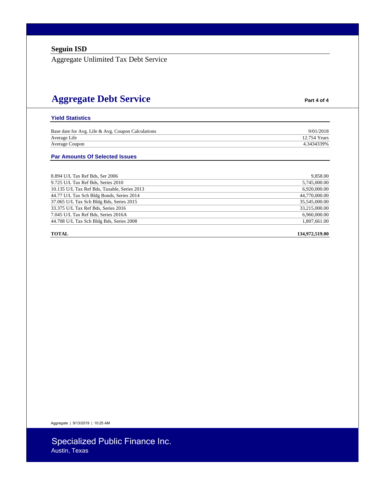Aggregate Unlimited Tax Debt Service

### **Aggregate Debt Service Part 4 of 4**

#### **Yield Statistics**

| Base date for Avg. Life & Avg. Coupon Calculations | 9/01/2018    |
|----------------------------------------------------|--------------|
| Average Life                                       | 12.754 Years |
| Average Coupon                                     | 4.3434339%   |

#### **Par Amounts Of Selected Issues**

| 8.894 U/L Tax Ref Bds, Ser 2006              | 9,858.00      |
|----------------------------------------------|---------------|
| 9.725 U/L Tax Ref Bds, Series 2010           | 5,745,000.00  |
| 10.135 U/L Tax Ref Bds, Taxable, Series 2013 | 6,920,000.00  |
| 44.77 U/L Tax Sch Bldg Bonds, Series 2014    | 44,770,000.00 |
| 37.065 U/L Tax Sch Bldg Bds, Series 2015     | 35,545,000.00 |
| 33.375 U/L Tax Ref Bds, Series 2016          | 33,215,000.00 |
| 7.045 U/L Tax Ref Bds, Series 2016A          | 6,960,000.00  |
| 44.708 U/L Tax Sch Bldg Bds, Series 2008     | 1,807,661.00  |

#### **TOTAL 134,972,519.00**

Aggregate | 9/13/2019 | 10:25 AM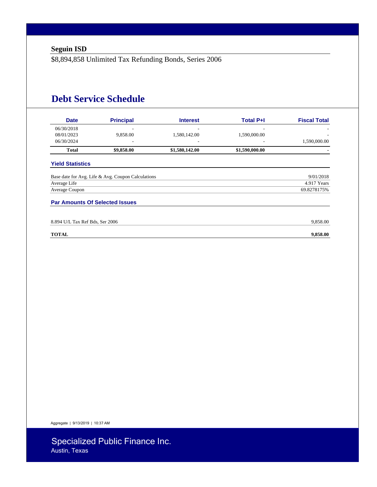\$8,894,858 Unlimited Tax Refunding Bonds, Series 2006

### **Debt Service Schedule**

| <b>Date</b>                           | <b>Principal</b>                                   | <b>Interest</b> | <b>Total P+I</b>         | <b>Fiscal Total</b> |
|---------------------------------------|----------------------------------------------------|-----------------|--------------------------|---------------------|
| 06/30/2018                            |                                                    |                 |                          |                     |
| 08/01/2023                            | 9,858.00                                           | 1,580,142.00    | 1,590,000.00             |                     |
| 06/30/2024                            |                                                    |                 | $\overline{\phantom{a}}$ | 1,590,000.00        |
| <b>Total</b>                          | \$9,858.00                                         | \$1,580,142.00  | \$1,590,000.00           |                     |
| <b>Yield Statistics</b>               |                                                    |                 |                          |                     |
|                                       | Base date for Avg. Life & Avg. Coupon Calculations |                 |                          | 9/01/2018           |
| Average Life                          |                                                    |                 |                          | 4.917 Years         |
| Average Coupon                        |                                                    |                 |                          | 69.8278175%         |
| <b>Par Amounts Of Selected Issues</b> |                                                    |                 |                          |                     |
| 8.894 U/L Tax Ref Bds, Ser 2006       |                                                    |                 |                          | 9,858.00            |
| <b>TOTAL</b>                          |                                                    |                 |                          |                     |

Aggregate | 9/13/2019 | 10:37 AM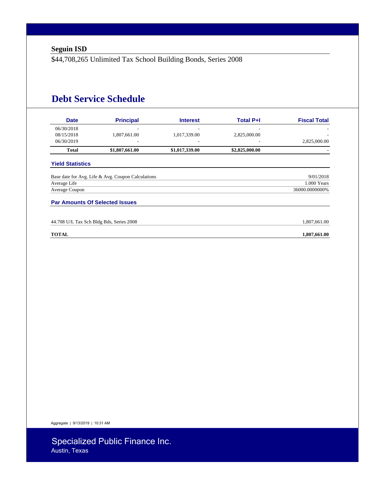\$44,708,265 Unlimited Tax School Building Bonds, Series 2008

### **Debt Service Schedule**

| <b>Date</b>             | <b>Principal</b>                                   | <b>Interest</b> | <b>Total P+I</b> | <b>Fiscal Total</b> |
|-------------------------|----------------------------------------------------|-----------------|------------------|---------------------|
| 06/30/2018              |                                                    |                 |                  | ۰                   |
| 08/15/2018              | 1,807,661.00                                       | 1,017,339.00    | 2,825,000.00     |                     |
| 06/30/2019              |                                                    |                 |                  | 2,825,000.00        |
| <b>Total</b>            | \$1,807,661.00                                     | \$1,017,339.00  | \$2,825,000.00   |                     |
| <b>Yield Statistics</b> |                                                    |                 |                  |                     |
|                         | Base date for Avg. Life & Avg. Coupon Calculations |                 |                  | 9/01/2018           |
| Average Life            |                                                    |                 |                  | 1.000 Years         |
| Average Coupon          |                                                    |                 |                  | 36000.0000000%      |
|                         | <b>Par Amounts Of Selected Issues</b>              |                 |                  |                     |
|                         | 44.708 U/L Tax Sch Bldg Bds, Series 2008           |                 |                  | 1,807,661.00        |
| <b>TOTAL</b>            |                                                    |                 |                  | 1,807,661.00        |

Aggregate | 9/13/2019 | 10:31 AM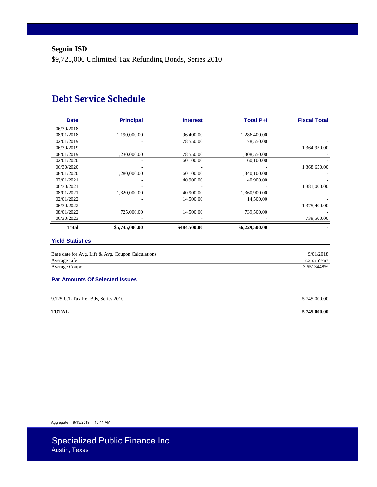\$9,725,000 Unlimited Tax Refunding Bonds, Series 2010

### **Debt Service Schedule**

| <b>Date</b>  | <b>Principal</b> | <b>Interest</b> | <b>Total P+I</b> | <b>Fiscal Total</b> |
|--------------|------------------|-----------------|------------------|---------------------|
| 06/30/2018   |                  |                 |                  |                     |
| 08/01/2018   | 1,190,000.00     | 96,400.00       | 1,286,400.00     |                     |
| 02/01/2019   |                  | 78,550.00       | 78,550.00        |                     |
| 06/30/2019   |                  |                 |                  | 1,364,950.00        |
| 08/01/2019   | 1,230,000.00     | 78,550.00       | 1,308,550.00     |                     |
| 02/01/2020   |                  | 60,100.00       | 60,100.00        |                     |
| 06/30/2020   |                  |                 |                  | 1,368,650.00        |
| 08/01/2020   | 1,280,000.00     | 60,100.00       | 1,340,100.00     |                     |
| 02/01/2021   |                  | 40,900.00       | 40,900.00        |                     |
| 06/30/2021   |                  |                 |                  | 1,381,000.00        |
| 08/01/2021   | 1,320,000.00     | 40,900.00       | 1,360,900.00     |                     |
| 02/01/2022   |                  | 14,500.00       | 14,500.00        |                     |
| 06/30/2022   |                  |                 |                  | 1,375,400.00        |
| 08/01/2022   | 725,000.00       | 14,500.00       | 739,500.00       |                     |
| 06/30/2023   |                  |                 |                  | 739,500.00          |
| <b>Total</b> | \$5,745,000.00   | \$484,500.00    | \$6,229,500.00   |                     |

#### **Yield Statistics**

| Base date for Avg. Life & Avg. Coupon Calculations | 9/01/2018   |
|----------------------------------------------------|-------------|
| Average Life                                       | 2.255 Years |
| Average Coupon                                     | 3.6513448%  |

#### **Par Amounts Of Selected Issues**

| 9.725 U/L Tax Ref Bds, Series 2010 | 5,745,000.00 |
|------------------------------------|--------------|
| <b>TOTAL</b>                       | 5,745,000.00 |

Aggregate | 9/13/2019 | 10:41 AM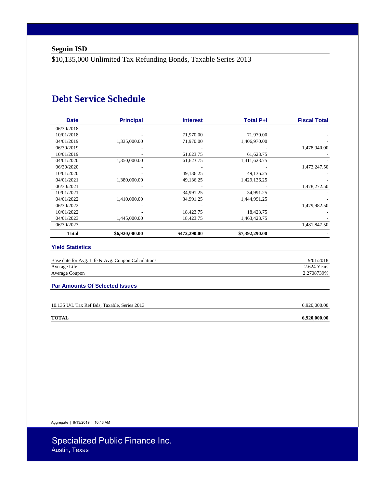\$10,135,000 Unlimited Tax Refunding Bonds, Taxable Series 2013

### **Debt Service Schedule**

| <b>Date</b>  | <b>Principal</b> | <b>Interest</b> | <b>Total P+I</b> | <b>Fiscal Total</b> |
|--------------|------------------|-----------------|------------------|---------------------|
| 06/30/2018   |                  |                 |                  |                     |
| 10/01/2018   |                  | 71,970.00       | 71,970.00        |                     |
| 04/01/2019   | 1,335,000.00     | 71,970.00       | 1,406,970.00     |                     |
| 06/30/2019   |                  |                 |                  | 1,478,940.00        |
| 10/01/2019   |                  | 61,623.75       | 61,623.75        |                     |
| 04/01/2020   | 1,350,000.00     | 61,623.75       | 1,411,623.75     |                     |
| 06/30/2020   |                  |                 |                  | 1,473,247.50        |
| 10/01/2020   |                  | 49,136.25       | 49,136.25        |                     |
| 04/01/2021   | 1,380,000.00     | 49,136.25       | 1,429,136.25     |                     |
| 06/30/2021   |                  |                 |                  | 1,478,272.50        |
| 10/01/2021   |                  | 34,991.25       | 34,991.25        |                     |
| 04/01/2022   | 1,410,000.00     | 34,991.25       | 1,444,991.25     |                     |
| 06/30/2022   |                  |                 |                  | 1,479,982.50        |
| 10/01/2022   |                  | 18,423.75       | 18,423.75        |                     |
| 04/01/2023   | 1,445,000.00     | 18,423.75       | 1,463,423.75     |                     |
| 06/30/2023   |                  |                 |                  | 1,481,847.50        |
| <b>Total</b> | \$6,920,000.00   | \$472,290.00    | \$7,392,290.00   |                     |

#### **Yield Statistics**

| Base date for Avg. Life & Avg. Coupon Calculations | 9/01/2018   |
|----------------------------------------------------|-------------|
| Average Life                                       | 2.624 Years |
| Average Coupon                                     | 2.2708739%  |

#### **Par Amounts Of Selected Issues**

| 10.135 U/L Tax Ref Bds. Taxable. Series 2013 | 6.920.000.00 |
|----------------------------------------------|--------------|
|                                              |              |
| <b>TOTAL</b>                                 | 6.920.000.00 |

Aggregate | 9/13/2019 | 10:43 AM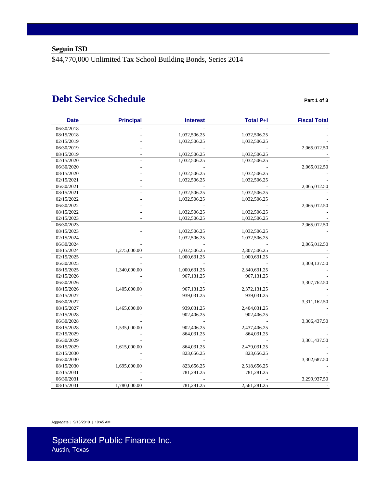\$44,770,000 Unlimited Tax School Building Bonds, Series 2014

### **Debt Service Schedule Part 1 of 3**

| <b>Date</b> | <b>Principal</b> | <b>Interest</b> | <b>Total P+I</b> | <b>Fiscal Total</b> |
|-------------|------------------|-----------------|------------------|---------------------|
| 06/30/2018  |                  |                 |                  |                     |
| 08/15/2018  |                  | 1,032,506.25    | 1,032,506.25     |                     |
| 02/15/2019  |                  | 1,032,506.25    | 1,032,506.25     |                     |
| 06/30/2019  |                  |                 |                  | 2,065,012.50        |
| 08/15/2019  |                  | 1,032,506.25    | 1,032,506.25     |                     |
| 02/15/2020  |                  | 1,032,506.25    | 1,032,506.25     |                     |
| 06/30/2020  |                  |                 |                  | 2,065,012.50        |
| 08/15/2020  |                  | 1,032,506.25    | 1,032,506.25     |                     |
| 02/15/2021  |                  | 1,032,506.25    | 1,032,506.25     |                     |
| 06/30/2021  |                  |                 |                  | 2,065,012.50        |
| 08/15/2021  |                  | 1,032,506.25    | 1,032,506.25     |                     |
| 02/15/2022  |                  | 1,032,506.25    | 1,032,506.25     |                     |
| 06/30/2022  |                  |                 |                  | 2,065,012.50        |
| 08/15/2022  |                  | 1,032,506.25    | 1,032,506.25     |                     |
| 02/15/2023  |                  | 1,032,506.25    | 1,032,506.25     |                     |
| 06/30/2023  |                  |                 |                  | 2,065,012.50        |
| 08/15/2023  |                  | 1,032,506.25    | 1,032,506.25     |                     |
| 02/15/2024  |                  | 1,032,506.25    | 1,032,506.25     |                     |
| 06/30/2024  |                  |                 |                  | 2,065,012.50        |
| 08/15/2024  | 1,275,000.00     | 1,032,506.25    | 2,307,506.25     |                     |
| 02/15/2025  |                  | 1,000,631.25    | 1,000,631.25     |                     |
| 06/30/2025  |                  |                 |                  | 3,308,137.50        |
| 08/15/2025  | 1,340,000.00     | 1,000,631.25    | 2,340,631.25     |                     |
| 02/15/2026  |                  | 967,131.25      | 967,131.25       |                     |
| 06/30/2026  |                  |                 |                  | 3,307,762.50        |
| 08/15/2026  | 1,405,000.00     | 967,131.25      | 2,372,131.25     |                     |
| 02/15/2027  |                  | 939,031.25      | 939,031.25       |                     |
| 06/30/2027  |                  |                 |                  | 3,311,162.50        |
| 08/15/2027  | 1,465,000.00     | 939,031.25      | 2,404,031.25     |                     |
| 02/15/2028  |                  | 902,406.25      | 902,406.25       |                     |
| 06/30/2028  |                  |                 |                  | 3,306,437.50        |
| 08/15/2028  | 1,535,000.00     | 902,406.25      | 2,437,406.25     |                     |
| 02/15/2029  |                  | 864,031.25      | 864,031.25       |                     |
| 06/30/2029  |                  |                 |                  | 3,301,437.50        |
| 08/15/2029  | 1,615,000.00     | 864,031.25      | 2,479,031.25     |                     |
| 02/15/2030  |                  | 823,656.25      | 823,656.25       |                     |
| 06/30/2030  |                  |                 |                  | 3,302,687.50        |
| 08/15/2030  | 1,695,000.00     | 823,656.25      | 2,518,656.25     |                     |
| 02/15/2031  |                  | 781,281.25      | 781,281.25       |                     |
| 06/30/2031  |                  |                 |                  | 3,299,937.50        |
| 08/15/2031  | 1,780,000.00     | 781,281.25      | 2,561,281.25     |                     |

Aggregate | 9/13/2019 | 10:45 AM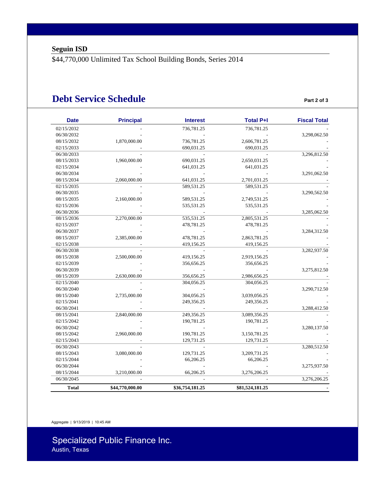\$44,770,000 Unlimited Tax School Building Bonds, Series 2014

### **Debt Service Schedule Part 2 of 3**

| <b>Date</b>  | <b>Principal</b> | <b>Interest</b> | <b>Total P+I</b> | <b>Fiscal Total</b> |
|--------------|------------------|-----------------|------------------|---------------------|
| 02/15/2032   |                  | 736,781.25      | 736,781.25       |                     |
| 06/30/2032   |                  |                 |                  | 3,298,062.50        |
| 08/15/2032   | 1,870,000.00     | 736,781.25      | 2,606,781.25     |                     |
| 02/15/2033   |                  | 690,031.25      | 690,031.25       |                     |
| 06/30/2033   |                  |                 |                  | 3,296,812.50        |
| 08/15/2033   | 1,960,000.00     | 690,031.25      | 2,650,031.25     |                     |
| 02/15/2034   |                  | 641,031.25      | 641,031.25       |                     |
| 06/30/2034   |                  |                 |                  | 3,291,062.50        |
| 08/15/2034   | 2,060,000.00     | 641,031.25      | 2,701,031.25     |                     |
| 02/15/2035   |                  | 589,531.25      | 589,531.25       |                     |
| 06/30/2035   |                  |                 |                  | 3,290,562.50        |
| 08/15/2035   | 2,160,000.00     | 589,531.25      | 2,749,531.25     |                     |
| 02/15/2036   |                  | 535,531.25      | 535,531.25       |                     |
| 06/30/2036   |                  |                 |                  | 3,285,062.50        |
| 08/15/2036   | 2,270,000.00     | 535,531.25      | 2,805,531.25     |                     |
| 02/15/2037   |                  | 478,781.25      | 478,781.25       |                     |
| 06/30/2037   |                  |                 |                  | 3,284,312.50        |
| 08/15/2037   | 2,385,000.00     | 478,781.25      | 2,863,781.25     |                     |
| 02/15/2038   |                  | 419,156.25      | 419,156.25       |                     |
| 06/30/2038   |                  |                 |                  | 3,282,937.50        |
| 08/15/2038   | 2,500,000.00     | 419,156.25      | 2,919,156.25     |                     |
| 02/15/2039   |                  | 356,656.25      | 356,656.25       |                     |
| 06/30/2039   |                  |                 |                  | 3,275,812.50        |
| 08/15/2039   | 2,630,000.00     | 356,656.25      | 2,986,656.25     |                     |
| 02/15/2040   |                  | 304,056.25      | 304,056.25       |                     |
| 06/30/2040   |                  |                 |                  | 3,290,712.50        |
| 08/15/2040   | 2,735,000.00     | 304,056.25      | 3,039,056.25     |                     |
| 02/15/2041   |                  | 249,356.25      | 249,356.25       |                     |
| 06/30/2041   |                  |                 |                  | 3,288,412.50        |
| 08/15/2041   | 2,840,000.00     | 249,356.25      | 3,089,356.25     |                     |
| 02/15/2042   |                  | 190,781.25      | 190,781.25       |                     |
| 06/30/2042   |                  |                 |                  | 3,280,137.50        |
| 08/15/2042   | 2,960,000.00     | 190,781.25      | 3,150,781.25     |                     |
| 02/15/2043   |                  | 129,731.25      | 129,731.25       |                     |
| 06/30/2043   |                  |                 |                  | 3,280,512.50        |
| 08/15/2043   | 3,080,000.00     | 129,731.25      | 3,209,731.25     |                     |
| 02/15/2044   |                  | 66,206.25       | 66,206.25        |                     |
| 06/30/2044   |                  |                 |                  | 3,275,937.50        |
| 08/15/2044   | 3,210,000.00     | 66,206.25       | 3,276,206.25     |                     |
| 06/30/2045   |                  |                 |                  | 3,276,206.25        |
| <b>Total</b> | \$44,770,000.00  | \$36,754,181.25 | \$81,524,181.25  |                     |

Aggregate | 9/13/2019 | 10:45 AM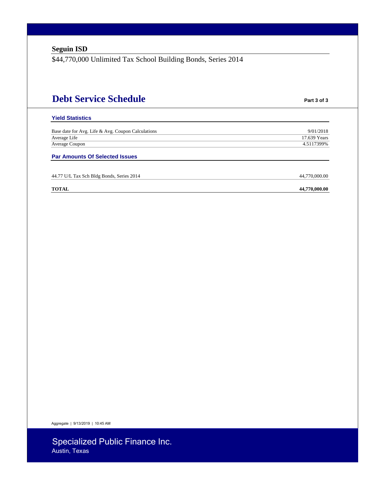\$44,770,000 Unlimited Tax School Building Bonds, Series 2014

## **Debt Service Schedule Part 3 of 3 Yield Statistics**  Base date for Avg. Life & Avg. Coupon Calculations 9/01/2018 Average Life 2012 17.639 Years 2012 17.639 Years 2012 17.639 Years 2012 17.639 Years Average Coupon 4.5117399% **Par Amounts Of Selected Issues**  44.77 U/L Tax Sch Bldg Bonds, Series 2014 44,770,000.00

**TOTAL 44,770,000.00**

Aggregate | 9/13/2019 | 10:45 AM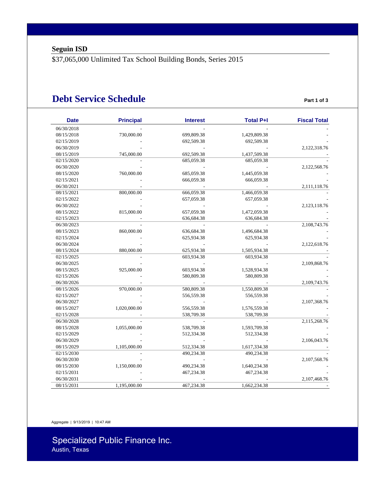\$37,065,000 Unlimited Tax School Building Bonds, Series 2015

### **Debt Service Schedule Part 1 of 3**

| <b>Date</b> | <b>Principal</b> | <b>Interest</b> | <b>Total P+I</b> | <b>Fiscal Total</b> |
|-------------|------------------|-----------------|------------------|---------------------|
| 06/30/2018  |                  |                 |                  |                     |
| 08/15/2018  | 730,000.00       | 699,809.38      | 1,429,809.38     |                     |
| 02/15/2019  |                  | 692,509.38      | 692,509.38       |                     |
| 06/30/2019  |                  |                 |                  | 2,122,318.76        |
| 08/15/2019  | 745,000.00       | 692,509.38      | 1,437,509.38     |                     |
| 02/15/2020  |                  | 685,059.38      | 685,059.38       |                     |
| 06/30/2020  |                  |                 |                  | 2,122,568.76        |
| 08/15/2020  | 760,000.00       | 685,059.38      | 1,445,059.38     |                     |
| 02/15/2021  |                  | 666,059.38      | 666,059.38       |                     |
| 06/30/2021  |                  |                 |                  | 2,111,118.76        |
| 08/15/2021  | 800,000.00       | 666,059.38      | 1,466,059.38     |                     |
| 02/15/2022  |                  | 657,059.38      | 657,059.38       |                     |
| 06/30/2022  |                  |                 |                  | 2,123,118.76        |
| 08/15/2022  | 815,000.00       | 657,059.38      | 1,472,059.38     |                     |
| 02/15/2023  |                  | 636,684.38      | 636,684.38       |                     |
| 06/30/2023  |                  |                 |                  | 2,108,743.76        |
| 08/15/2023  | 860,000.00       | 636,684.38      | 1,496,684.38     |                     |
| 02/15/2024  |                  | 625,934.38      | 625,934.38       |                     |
| 06/30/2024  |                  |                 |                  | 2,122,618.76        |
| 08/15/2024  | 880,000.00       | 625,934.38      | 1,505,934.38     |                     |
| 02/15/2025  |                  | 603,934.38      | 603,934.38       |                     |
| 06/30/2025  |                  |                 |                  | 2,109,868.76        |
| 08/15/2025  | 925,000.00       | 603,934.38      | 1,528,934.38     |                     |
| 02/15/2026  |                  | 580,809.38      | 580,809.38       |                     |
| 06/30/2026  |                  |                 |                  | 2,109,743.76        |
| 08/15/2026  | 970,000.00       | 580,809.38      | 1,550,809.38     |                     |
| 02/15/2027  |                  | 556,559.38      | 556,559.38       |                     |
| 06/30/2027  |                  |                 |                  | 2,107,368.76        |
| 08/15/2027  | 1,020,000.00     | 556,559.38      | 1,576,559.38     |                     |
| 02/15/2028  |                  | 538,709.38      | 538,709.38       |                     |
| 06/30/2028  |                  |                 |                  | 2,115,268.76        |
| 08/15/2028  | 1,055,000.00     | 538,709.38      | 1,593,709.38     |                     |
| 02/15/2029  |                  | 512,334.38      | 512,334.38       |                     |
| 06/30/2029  |                  |                 |                  | 2,106,043.76        |
| 08/15/2029  | 1,105,000.00     | 512,334.38      | 1,617,334.38     |                     |
| 02/15/2030  |                  | 490,234.38      | 490,234.38       |                     |
| 06/30/2030  |                  |                 |                  |                     |
|             |                  |                 |                  | 2,107,568.76        |
| 08/15/2030  | 1,150,000.00     | 490,234.38      | 1,640,234.38     |                     |
| 02/15/2031  |                  | 467,234.38      | 467,234.38       |                     |
| 06/30/2031  |                  |                 |                  | 2,107,468.76        |
| 08/15/2031  | 1,195,000.00     | 467,234.38      | 1,662,234.38     |                     |

Aggregate | 9/13/2019 | 10:47 AM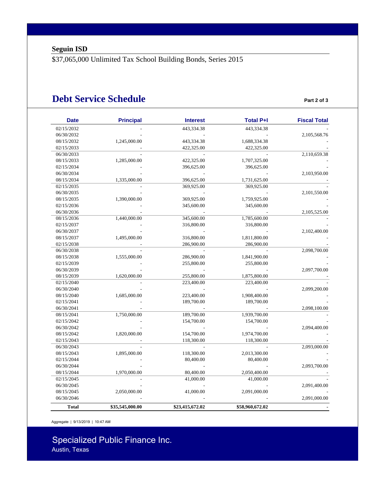\$37,065,000 Unlimited Tax School Building Bonds, Series 2015

### **Debt Service Schedule Part 2 of 3**

| 02/15/2032<br>443,334.38<br>443,334.38<br>06/30/2032<br>443,334.38<br>1,688,334.38<br>08/15/2032<br>1,245,000.00<br>422,325.00<br>422,325.00<br>02/15/2033<br>06/30/2033<br>08/15/2033<br>1,285,000.00<br>422,325.00<br>1,707,325.00<br>02/15/2034<br>396,625.00<br>396,625.00<br>06/30/2034<br>08/15/2034<br>1,335,000.00<br>396,625.00<br>1,731,625.00<br>02/15/2035<br>369,925.00<br>369,925.00<br>06/30/2035<br>369,925.00<br>1,759,925.00<br>08/15/2035<br>1,390,000.00<br>02/15/2036<br>345,600.00<br>345,600.00<br>06/30/2036<br>1,440,000.00<br>345,600.00<br>1,785,600.00<br>08/15/2036<br>02/15/2037<br>316,800.00<br>316,800.00<br>06/30/2037<br>08/15/2037<br>316,800.00<br>1,811,800.00<br>1,495,000.00<br>02/15/2038<br>286,900.00<br>286,900.00<br>06/30/2038<br>08/15/2038<br>286,900.00<br>1,841,900.00<br>1,555,000.00<br>02/15/2039<br>255,800.00<br>255,800.00<br>06/30/2039<br>08/15/2039<br>1,620,000.00<br>255,800.00<br>1,875,800.00<br>02/15/2040<br>223,400.00<br>223,400.00<br>06/30/2040<br>08/15/2040<br>1,685,000.00<br>223,400.00<br>1,908,400.00<br>02/15/2041<br>189,700.00<br>189,700.00 | 2,105,568.76<br>2,110,659.38<br>2,103,950.00<br>2,101,550.00<br>2,105,525.00<br>2,102,400.00 |
|----------------------------------------------------------------------------------------------------------------------------------------------------------------------------------------------------------------------------------------------------------------------------------------------------------------------------------------------------------------------------------------------------------------------------------------------------------------------------------------------------------------------------------------------------------------------------------------------------------------------------------------------------------------------------------------------------------------------------------------------------------------------------------------------------------------------------------------------------------------------------------------------------------------------------------------------------------------------------------------------------------------------------------------------------------------------------------------------------------------------------|----------------------------------------------------------------------------------------------|
|                                                                                                                                                                                                                                                                                                                                                                                                                                                                                                                                                                                                                                                                                                                                                                                                                                                                                                                                                                                                                                                                                                                            |                                                                                              |
|                                                                                                                                                                                                                                                                                                                                                                                                                                                                                                                                                                                                                                                                                                                                                                                                                                                                                                                                                                                                                                                                                                                            |                                                                                              |
|                                                                                                                                                                                                                                                                                                                                                                                                                                                                                                                                                                                                                                                                                                                                                                                                                                                                                                                                                                                                                                                                                                                            |                                                                                              |
|                                                                                                                                                                                                                                                                                                                                                                                                                                                                                                                                                                                                                                                                                                                                                                                                                                                                                                                                                                                                                                                                                                                            |                                                                                              |
|                                                                                                                                                                                                                                                                                                                                                                                                                                                                                                                                                                                                                                                                                                                                                                                                                                                                                                                                                                                                                                                                                                                            |                                                                                              |
|                                                                                                                                                                                                                                                                                                                                                                                                                                                                                                                                                                                                                                                                                                                                                                                                                                                                                                                                                                                                                                                                                                                            |                                                                                              |
|                                                                                                                                                                                                                                                                                                                                                                                                                                                                                                                                                                                                                                                                                                                                                                                                                                                                                                                                                                                                                                                                                                                            |                                                                                              |
|                                                                                                                                                                                                                                                                                                                                                                                                                                                                                                                                                                                                                                                                                                                                                                                                                                                                                                                                                                                                                                                                                                                            |                                                                                              |
|                                                                                                                                                                                                                                                                                                                                                                                                                                                                                                                                                                                                                                                                                                                                                                                                                                                                                                                                                                                                                                                                                                                            |                                                                                              |
|                                                                                                                                                                                                                                                                                                                                                                                                                                                                                                                                                                                                                                                                                                                                                                                                                                                                                                                                                                                                                                                                                                                            |                                                                                              |
|                                                                                                                                                                                                                                                                                                                                                                                                                                                                                                                                                                                                                                                                                                                                                                                                                                                                                                                                                                                                                                                                                                                            |                                                                                              |
|                                                                                                                                                                                                                                                                                                                                                                                                                                                                                                                                                                                                                                                                                                                                                                                                                                                                                                                                                                                                                                                                                                                            |                                                                                              |
|                                                                                                                                                                                                                                                                                                                                                                                                                                                                                                                                                                                                                                                                                                                                                                                                                                                                                                                                                                                                                                                                                                                            |                                                                                              |
|                                                                                                                                                                                                                                                                                                                                                                                                                                                                                                                                                                                                                                                                                                                                                                                                                                                                                                                                                                                                                                                                                                                            |                                                                                              |
|                                                                                                                                                                                                                                                                                                                                                                                                                                                                                                                                                                                                                                                                                                                                                                                                                                                                                                                                                                                                                                                                                                                            |                                                                                              |
|                                                                                                                                                                                                                                                                                                                                                                                                                                                                                                                                                                                                                                                                                                                                                                                                                                                                                                                                                                                                                                                                                                                            |                                                                                              |
|                                                                                                                                                                                                                                                                                                                                                                                                                                                                                                                                                                                                                                                                                                                                                                                                                                                                                                                                                                                                                                                                                                                            |                                                                                              |
|                                                                                                                                                                                                                                                                                                                                                                                                                                                                                                                                                                                                                                                                                                                                                                                                                                                                                                                                                                                                                                                                                                                            |                                                                                              |
|                                                                                                                                                                                                                                                                                                                                                                                                                                                                                                                                                                                                                                                                                                                                                                                                                                                                                                                                                                                                                                                                                                                            |                                                                                              |
|                                                                                                                                                                                                                                                                                                                                                                                                                                                                                                                                                                                                                                                                                                                                                                                                                                                                                                                                                                                                                                                                                                                            | 2,098,700.00                                                                                 |
|                                                                                                                                                                                                                                                                                                                                                                                                                                                                                                                                                                                                                                                                                                                                                                                                                                                                                                                                                                                                                                                                                                                            |                                                                                              |
|                                                                                                                                                                                                                                                                                                                                                                                                                                                                                                                                                                                                                                                                                                                                                                                                                                                                                                                                                                                                                                                                                                                            |                                                                                              |
|                                                                                                                                                                                                                                                                                                                                                                                                                                                                                                                                                                                                                                                                                                                                                                                                                                                                                                                                                                                                                                                                                                                            | 2,097,700.00                                                                                 |
|                                                                                                                                                                                                                                                                                                                                                                                                                                                                                                                                                                                                                                                                                                                                                                                                                                                                                                                                                                                                                                                                                                                            |                                                                                              |
|                                                                                                                                                                                                                                                                                                                                                                                                                                                                                                                                                                                                                                                                                                                                                                                                                                                                                                                                                                                                                                                                                                                            |                                                                                              |
|                                                                                                                                                                                                                                                                                                                                                                                                                                                                                                                                                                                                                                                                                                                                                                                                                                                                                                                                                                                                                                                                                                                            | 2,099,200.00                                                                                 |
|                                                                                                                                                                                                                                                                                                                                                                                                                                                                                                                                                                                                                                                                                                                                                                                                                                                                                                                                                                                                                                                                                                                            |                                                                                              |
|                                                                                                                                                                                                                                                                                                                                                                                                                                                                                                                                                                                                                                                                                                                                                                                                                                                                                                                                                                                                                                                                                                                            |                                                                                              |
| 06/30/2041                                                                                                                                                                                                                                                                                                                                                                                                                                                                                                                                                                                                                                                                                                                                                                                                                                                                                                                                                                                                                                                                                                                 | 2,098,100.00                                                                                 |
| 189,700.00<br>1,939,700.00<br>08/15/2041<br>1,750,000.00                                                                                                                                                                                                                                                                                                                                                                                                                                                                                                                                                                                                                                                                                                                                                                                                                                                                                                                                                                                                                                                                   |                                                                                              |
| 02/15/2042<br>154,700.00<br>154,700.00                                                                                                                                                                                                                                                                                                                                                                                                                                                                                                                                                                                                                                                                                                                                                                                                                                                                                                                                                                                                                                                                                     |                                                                                              |
| 06/30/2042                                                                                                                                                                                                                                                                                                                                                                                                                                                                                                                                                                                                                                                                                                                                                                                                                                                                                                                                                                                                                                                                                                                 | 2,094,400.00                                                                                 |
| 08/15/2042<br>1,820,000.00<br>154,700.00<br>1,974,700.00                                                                                                                                                                                                                                                                                                                                                                                                                                                                                                                                                                                                                                                                                                                                                                                                                                                                                                                                                                                                                                                                   |                                                                                              |
| 02/15/2043<br>118,300.00<br>118,300.00                                                                                                                                                                                                                                                                                                                                                                                                                                                                                                                                                                                                                                                                                                                                                                                                                                                                                                                                                                                                                                                                                     |                                                                                              |
| 06/30/2043                                                                                                                                                                                                                                                                                                                                                                                                                                                                                                                                                                                                                                                                                                                                                                                                                                                                                                                                                                                                                                                                                                                 | 2,093,000.00                                                                                 |
| 08/15/2043<br>118,300.00<br>2,013,300.00<br>1,895,000.00                                                                                                                                                                                                                                                                                                                                                                                                                                                                                                                                                                                                                                                                                                                                                                                                                                                                                                                                                                                                                                                                   |                                                                                              |
| 02/15/2044<br>80,400.00<br>80,400.00                                                                                                                                                                                                                                                                                                                                                                                                                                                                                                                                                                                                                                                                                                                                                                                                                                                                                                                                                                                                                                                                                       |                                                                                              |
| 06/30/2044                                                                                                                                                                                                                                                                                                                                                                                                                                                                                                                                                                                                                                                                                                                                                                                                                                                                                                                                                                                                                                                                                                                 | 2,093,700.00                                                                                 |
| 80,400.00<br>08/15/2044<br>1,970,000.00<br>2,050,400.00                                                                                                                                                                                                                                                                                                                                                                                                                                                                                                                                                                                                                                                                                                                                                                                                                                                                                                                                                                                                                                                                    |                                                                                              |
| 41,000.00<br>02/15/2045<br>41,000.00                                                                                                                                                                                                                                                                                                                                                                                                                                                                                                                                                                                                                                                                                                                                                                                                                                                                                                                                                                                                                                                                                       |                                                                                              |
| 06/30/2045                                                                                                                                                                                                                                                                                                                                                                                                                                                                                                                                                                                                                                                                                                                                                                                                                                                                                                                                                                                                                                                                                                                 | 2,091,400.00                                                                                 |
| 08/15/2045<br>2,050,000.00<br>41,000.00<br>2,091,000.00                                                                                                                                                                                                                                                                                                                                                                                                                                                                                                                                                                                                                                                                                                                                                                                                                                                                                                                                                                                                                                                                    |                                                                                              |
| 06/30/2046                                                                                                                                                                                                                                                                                                                                                                                                                                                                                                                                                                                                                                                                                                                                                                                                                                                                                                                                                                                                                                                                                                                 | 2,091,000.00                                                                                 |
| \$35,545,000.00<br>\$23,415,672.02<br><b>Total</b><br>\$58,960,672.02                                                                                                                                                                                                                                                                                                                                                                                                                                                                                                                                                                                                                                                                                                                                                                                                                                                                                                                                                                                                                                                      |                                                                                              |

Aggregate | 9/13/2019 | 10:47 AM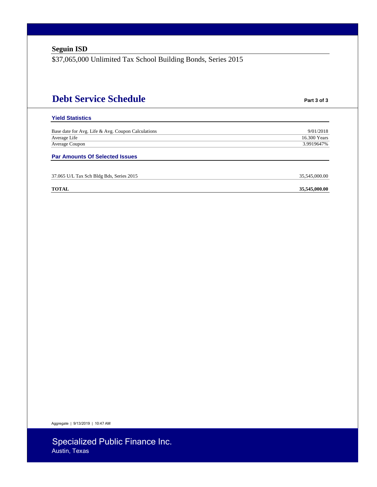\$37,065,000 Unlimited Tax School Building Bonds, Series 2015

## **Debt Service Schedule Part 3 of 3**

35,545,000.00

#### **Yield Statistics**

Base date for Avg. Life & Avg. Coupon Calculations 9/01/2018 Average Life 16.300 Years and the state of the state of the state of the state of the state of the state of the state of the state of the state of the state of the state of the state of the state of the state of the state Average Coupon 3.9919647% 3.9919647%

#### **Par Amounts Of Selected Issues**

| 37.065 U/L Tax Sch Bldg Bds, Series 2015 |
|------------------------------------------|
|------------------------------------------|

#### **TOTAL** 35,545,000.00

Aggregate | 9/13/2019 | 10:47 AM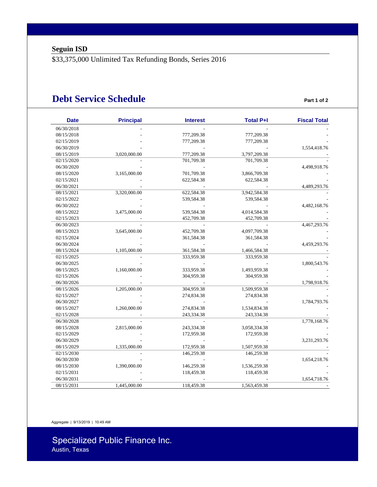\$33,375,000 Unlimited Tax Refunding Bonds, Series 2016

### **Debt Service Schedule Part 1 of 2**

| <b>Date</b> | <b>Principal</b> | <b>Interest</b> | <b>Total P+I</b> | <b>Fiscal Total</b> |
|-------------|------------------|-----------------|------------------|---------------------|
| 06/30/2018  |                  |                 |                  |                     |
| 08/15/2018  |                  | 777,209.38      | 777,209.38       |                     |
| 02/15/2019  |                  | 777,209.38      | 777,209.38       |                     |
| 06/30/2019  |                  |                 |                  | 1,554,418.76        |
| 08/15/2019  | 3,020,000.00     | 777,209.38      | 3,797,209.38     |                     |
| 02/15/2020  |                  | 701,709.38      | 701,709.38       |                     |
| 06/30/2020  |                  |                 |                  | 4,498,918.76        |
| 08/15/2020  | 3,165,000.00     | 701,709.38      | 3,866,709.38     |                     |
| 02/15/2021  |                  | 622,584.38      | 622,584.38       |                     |
| 06/30/2021  |                  |                 |                  | 4,489,293.76        |
| 08/15/2021  | 3,320,000.00     | 622,584.38      | 3,942,584.38     |                     |
| 02/15/2022  |                  | 539,584.38      | 539,584.38       |                     |
| 06/30/2022  |                  |                 |                  | 4,482,168.76        |
| 08/15/2022  | 3,475,000.00     | 539,584.38      | 4,014,584.38     |                     |
| 02/15/2023  |                  | 452,709.38      | 452,709.38       |                     |
| 06/30/2023  |                  |                 |                  | 4,467,293.76        |
| 08/15/2023  | 3,645,000.00     | 452,709.38      | 4,097,709.38     |                     |
| 02/15/2024  |                  | 361,584.38      | 361,584.38       |                     |
| 06/30/2024  |                  |                 |                  | 4,459,293.76        |
| 08/15/2024  | 1,105,000.00     | 361,584.38      | 1,466,584.38     |                     |
| 02/15/2025  |                  | 333,959.38      | 333,959.38       |                     |
| 06/30/2025  |                  |                 |                  | 1,800,543.76        |
| 08/15/2025  | 1,160,000.00     | 333,959.38      | 1,493,959.38     |                     |
| 02/15/2026  |                  | 304,959.38      | 304,959.38       |                     |
| 06/30/2026  |                  |                 |                  | 1,798,918.76        |
| 08/15/2026  | 1,205,000.00     | 304,959.38      | 1,509,959.38     |                     |
| 02/15/2027  |                  | 274,834.38      | 274,834.38       |                     |
| 06/30/2027  |                  |                 |                  | 1,784,793.76        |
| 08/15/2027  | 1,260,000.00     | 274,834.38      | 1,534,834.38     |                     |
| 02/15/2028  |                  | 243,334.38      | 243,334.38       |                     |
| 06/30/2028  |                  |                 |                  | 1,778,168.76        |
| 08/15/2028  | 2,815,000.00     | 243,334.38      | 3,058,334.38     |                     |
| 02/15/2029  |                  | 172,959.38      | 172,959.38       |                     |
| 06/30/2029  |                  |                 |                  | 3,231,293.76        |
| 08/15/2029  | 1,335,000.00     | 172,959.38      | 1,507,959.38     |                     |
| 02/15/2030  |                  | 146,259.38      | 146,259.38       |                     |
| 06/30/2030  |                  |                 |                  | 1,654,218.76        |
| 08/15/2030  | 1,390,000.00     | 146,259.38      | 1,536,259.38     |                     |
| 02/15/2031  |                  | 118,459.38      | 118,459.38       |                     |
| 06/30/2031  |                  |                 |                  | 1,654,718.76        |
|             |                  |                 |                  |                     |

Aggregate | 9/13/2019 | 10:49 AM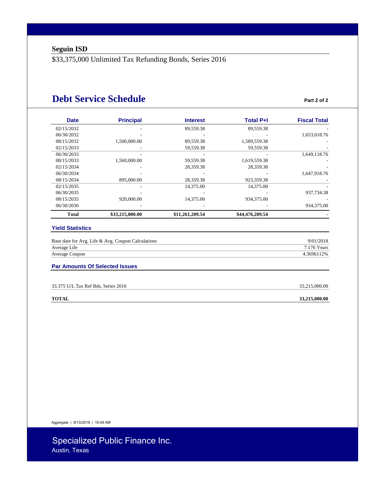\$33,375,000 Unlimited Tax Refunding Bonds, Series 2016

### **Debt Service Schedule Part 2 of 2**

| <b>Date</b>  | <b>Principal</b> | <b>Interest</b> | <b>Total P+I</b> | <b>Fiscal Total</b> |
|--------------|------------------|-----------------|------------------|---------------------|
| 02/15/2032   |                  | 89,559.38       | 89.559.38        |                     |
| 06/30/2032   |                  |                 |                  | 1,653,018.76        |
| 08/15/2032   | 1,500,000.00     | 89,559.38       | 1,589,559.38     |                     |
| 02/15/2033   |                  | 59,559.38       | 59,559.38        |                     |
| 06/30/2033   |                  |                 |                  | 1,649,118.76        |
| 08/15/2033   | 1,560,000.00     | 59,559.38       | 1,619,559.38     |                     |
| 02/15/2034   |                  | 28,359.38       | 28,359.38        |                     |
| 06/30/2034   |                  |                 |                  | 1,647,918.76        |
| 08/15/2034   | 895,000.00       | 28,359.38       | 923,359.38       |                     |
| 02/15/2035   |                  | 14,375.00       | 14,375.00        |                     |
| 06/30/2035   |                  |                 |                  | 937,734.38          |
| 08/15/2035   | 920,000.00       | 14,375.00       | 934,375.00       |                     |
| 06/30/2036   |                  |                 |                  | 934,375.00          |
| <b>Total</b> | \$33,215,000.00  | \$11,261,209.54 | \$44,476,209.54  |                     |

#### **Yield Statistics**

| Base date for Avg. Life & Avg. Coupon Calculations | 9/01/2018   |
|----------------------------------------------------|-------------|
| Average Life                                       | 7.176 Years |
| Average Coupon                                     | 4.3696112%  |

#### **Par Amounts Of Selected Issues**

| 33.375 U/L Tax Ref Bds, Series 2016 | 33.215.000.00 |
|-------------------------------------|---------------|
|-------------------------------------|---------------|

**TOTAL** 33,215,000.00

Aggregate | 9/13/2019 | 10:49 AM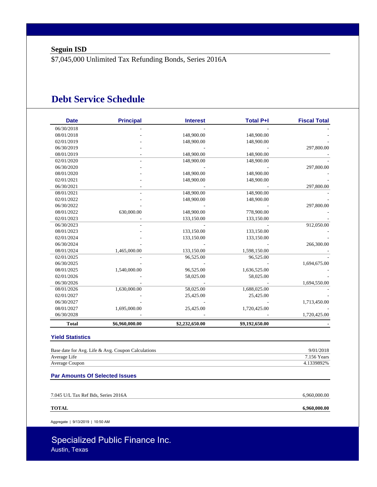\$7,045,000 Unlimited Tax Refunding Bonds, Series 2016A

### **Debt Service Schedule**

| <b>Date</b>                           | <b>Principal</b>                                   | <b>Interest</b>             | <b>Total P+I</b> | <b>Fiscal Total</b>            |
|---------------------------------------|----------------------------------------------------|-----------------------------|------------------|--------------------------------|
| 06/30/2018                            |                                                    |                             |                  |                                |
| 08/01/2018                            |                                                    | 148,900.00                  | 148,900.00       |                                |
| 02/01/2019                            |                                                    | 148,900.00                  | 148,900.00       |                                |
| 06/30/2019                            |                                                    |                             |                  | 297,800.00                     |
| 08/01/2019                            |                                                    | 148,900.00                  | 148,900.00       |                                |
| 02/01/2020                            |                                                    | 148,900.00                  | 148,900.00       |                                |
| 06/30/2020                            |                                                    |                             |                  | 297,800.00                     |
| 08/01/2020                            |                                                    | 148,900.00                  | 148,900.00       |                                |
| 02/01/2021                            |                                                    | 148,900.00                  | 148,900.00       |                                |
| 06/30/2021                            |                                                    |                             |                  | 297,800.00                     |
| 08/01/2021                            |                                                    | 148,900.00                  | 148,900.00       |                                |
| 02/01/2022                            |                                                    | 148,900.00                  | 148,900.00       |                                |
| 06/30/2022                            |                                                    |                             |                  | 297,800.00                     |
| 08/01/2022                            | 630,000.00                                         | 148,900.00                  | 778,900.00       |                                |
| 02/01/2023                            |                                                    | 133,150.00                  | 133,150.00       |                                |
| 06/30/2023                            |                                                    |                             |                  | 912,050.00                     |
| 08/01/2023                            |                                                    | 133,150.00                  | 133,150.00       |                                |
| 02/01/2024                            |                                                    | 133,150.00                  | 133,150.00       |                                |
| 06/30/2024                            |                                                    |                             |                  | 266,300.00                     |
| 08/01/2024                            | 1,465,000.00                                       | 133,150.00                  | 1,598,150.00     |                                |
| 02/01/2025                            |                                                    | 96,525.00                   | 96,525.00        |                                |
| 06/30/2025                            |                                                    |                             |                  | 1,694,675.00                   |
| 08/01/2025                            | 1,540,000.00                                       | 96,525.00                   | 1,636,525.00     |                                |
| 02/01/2026                            |                                                    | 58,025.00                   | 58,025.00        |                                |
| 06/30/2026                            |                                                    |                             |                  | 1,694,550.00                   |
| 08/01/2026                            | 1,630,000.00                                       | 58,025.00                   | 1,688,025.00     |                                |
| 02/01/2027                            |                                                    | 25,425.00                   | 25,425.00        |                                |
| 06/30/2027                            |                                                    |                             |                  | 1,713,450.00                   |
|                                       |                                                    |                             |                  |                                |
| 06/30/2028                            |                                                    |                             |                  | 1,720,425.00                   |
| <b>Total</b>                          |                                                    |                             |                  |                                |
| 08/01/2027<br><b>Yield Statistics</b> | 1,695,000.00<br>\$6,960,000.00                     | 25,425.00<br>\$2,232,650.00 |                  | 1,720,425.00<br>\$9,192,650.00 |
|                                       |                                                    |                             |                  |                                |
|                                       | Base date for Avg. Life & Avg. Coupon Calculations |                             |                  | 9/01/2018<br>7.156 Years       |
| Average Life                          |                                                    |                             |                  |                                |
| Average Coupon                        |                                                    |                             |                  | 4.1339892%                     |
| <b>Par Amounts Of Selected Issues</b> |                                                    |                             |                  |                                |
|                                       |                                                    |                             |                  |                                |

7.045 U/L Tax Ref Bds, Series 2016A 6,960,000.00

**TOTAL 6,960,000.00**

Aggregate | 9/13/2019 | 10:50 AM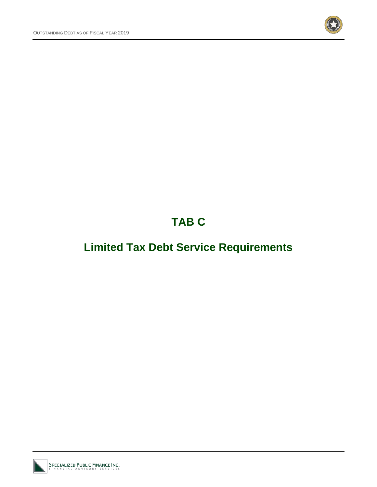

## **TAB C**

## **Limited Tax Debt Service Requirements**